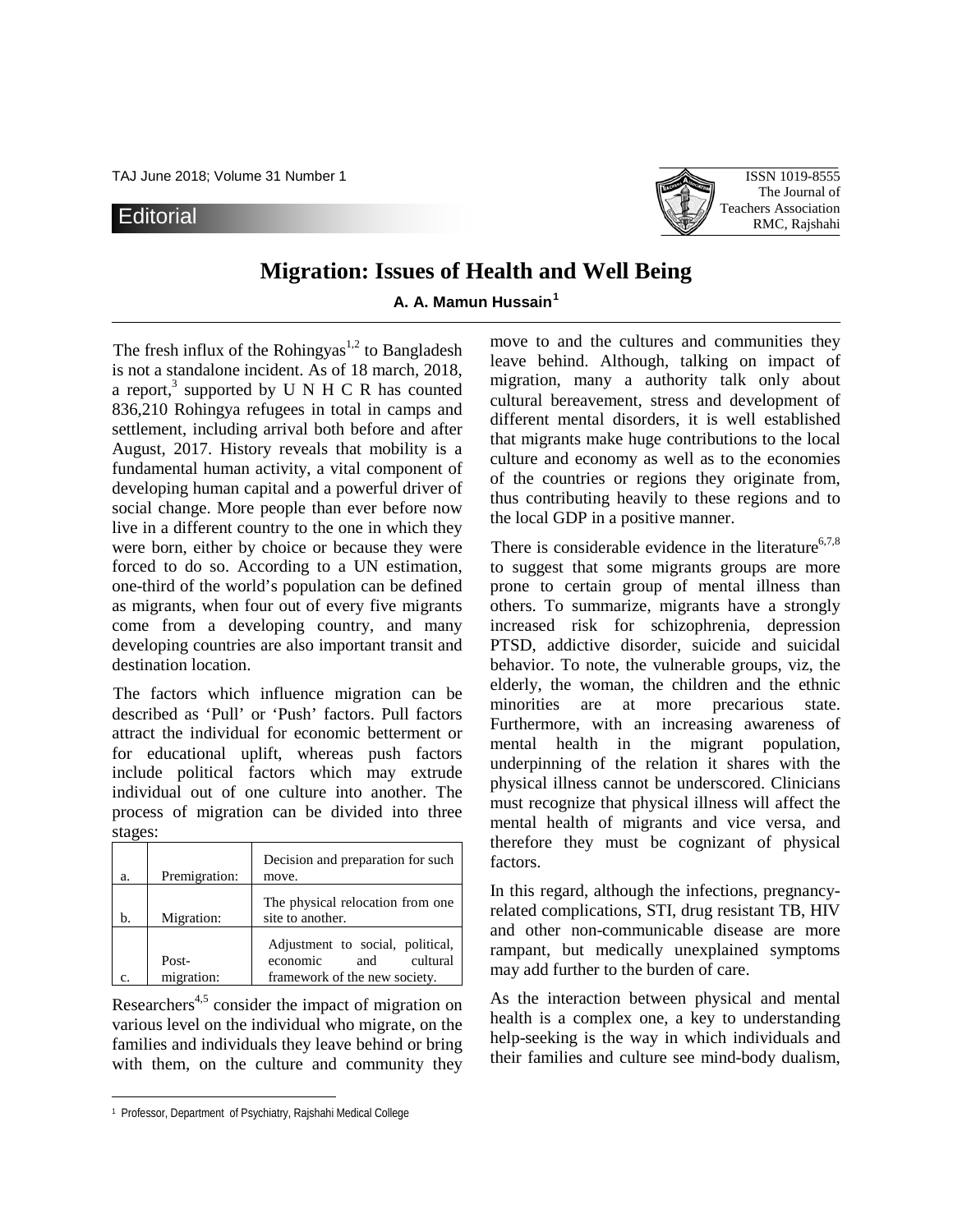TAJ June 2018; Volume 31 Number 1 **ISSN 1019-8555** 

## **Editorial**



# **Migration: Issues of Health and Well Being**

### **A. A. Mamun Hussain[1](#page-0-0)**

The fresh influx of the Rohingyas<sup>1,2</sup> to Bangladesh is not a standalone incident. As of 18 march, 2018, a report,<sup>3</sup> supported by U N H C R has counted 836,210 Rohingya refugees in total in camps and settlement, including arrival both before and after August, 2017. History reveals that mobility is a fundamental human activity, a vital component of developing human capital and a powerful driver of social change. More people than ever before now live in a different country to the one in which they were born, either by choice or because they were forced to do so. According to a UN estimation, one-third of the world's population can be defined as migrants, when four out of every five migrants come from a developing country, and many developing countries are also important transit and destination location.

The factors which influence migration can be described as 'Pull' or 'Push' factors. Pull factors attract the individual for economic betterment or for educational uplift, whereas push factors include political factors which may extrude individual out of one culture into another. The process of migration can be divided into three stages:

| a. | Premigration:       | Decision and preparation for such<br>move.                                                       |
|----|---------------------|--------------------------------------------------------------------------------------------------|
| b. | Migration:          | The physical relocation from one<br>site to another.                                             |
| C. | Post-<br>migration: | Adjustment to social, political,<br>cultural<br>economic<br>and<br>framework of the new society. |

Researchers<sup> $4,5$ </sup> consider the impact of migration on various level on the individual who migrate, on the families and individuals they leave behind or bring with them, on the culture and community they

 $\overline{a}$ 

move to and the cultures and communities they leave behind. Although, talking on impact of migration, many a authority talk only about cultural bereavement, stress and development of different mental disorders, it is well established that migrants make huge contributions to the local culture and economy as well as to the economies of the countries or regions they originate from, thus contributing heavily to these regions and to the local GDP in a positive manner.

There is considerable evidence in the literature<sup>6,7,8</sup> to suggest that some migrants groups are more prone to certain group of mental illness than others. To summarize, migrants have a strongly increased risk for schizophrenia, depression PTSD, addictive disorder, suicide and suicidal behavior. To note, the vulnerable groups, viz, the elderly, the woman, the children and the ethnic minorities are at more precarious state. Furthermore, with an increasing awareness of mental health in the migrant population, underpinning of the relation it shares with the physical illness cannot be underscored. Clinicians must recognize that physical illness will affect the mental health of migrants and vice versa, and therefore they must be cognizant of physical factors.

In this regard, although the infections, pregnancyrelated complications, STI, drug resistant TB, HIV and other non-communicable disease are more rampant, but medically unexplained symptoms may add further to the burden of care.

As the interaction between physical and mental health is a complex one, a key to understanding help-seeking is the way in which individuals and their families and culture see mind-body dualism,

<span id="page-0-0"></span><sup>1</sup> Professor, Department of Psychiatry, Rajshahi Medical College